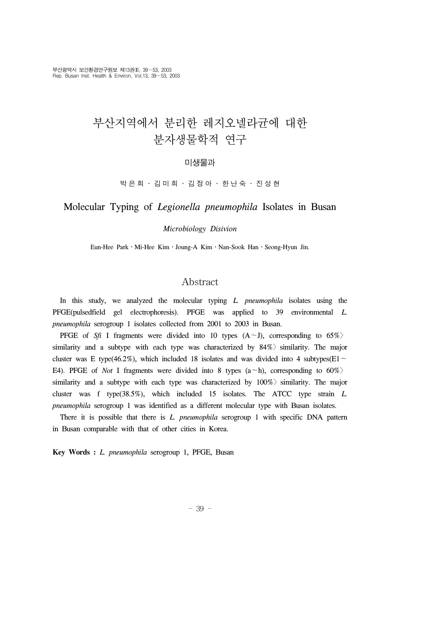# 부산지역에서 분리한 레지오넬라균에 대한 분자생물학적 연구

### 미생물과

박은희 ․ 김미희 ․ 김정아 ․ 한난숙 ․ 진성현

### Molecular Typing of *Legionella pneumophila* Isolates in Busan

#### *Microbiology Disivion*

Eun-Hee Park․Mi-Hee Kim․Joung-A Kim․Nan-Sook Han․Seong-Hyun Jin.

### Abstract

 In this study, we analyzed the molecular typing *L. pneumophila* isolates using the PFGE(pulsedfield gel electrophoresis). PFGE was applied to 39 environmental *L. pneumophila* serogroup 1 isolates collected from 2001 to 2003 in Busan.

 PFGE of *Sfi* I fragments were divided into 10 types (A∼J), corresponding to 65%〉 similarity and a subtype with each type was characterized by  $84\%$  similarity. The major cluster was E type(46.2%), which included 18 isolates and was divided into 4 subtypes(E1∼ E4). PFGE of *Not* I fragments were divided into 8 types (a∼h), corresponding to 60%〉 similarity and a subtype with each type was characterized by  $100\%$  similarity. The major cluster was f type(38.5%), which included 15 isolates. The ATCC type strain *L. pneumophila* serogroup 1 was identified as a different molecular type with Busan isolates.

 There it is possible that there is *L. pneumophila* serogroup 1 with specific DNA pattern in Busan comparable with that of other cities in Korea.

**Key Words :** *L. pneumophila* serogroup 1, PFGE, Busan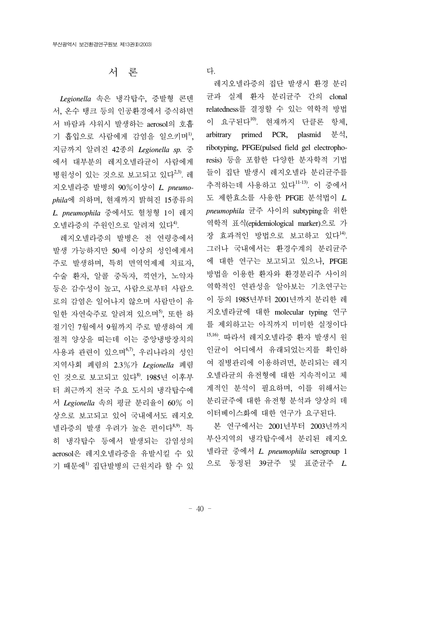서 론

 *Legionella* 속은 냉각탑수, 증발형 콘덴 서, 온수 탱크 등의 인공환경에서 증식하면 서 바람과 샤워시 발생하는 aerosol의 호흡 기 흡입으로 사람에게 감염을 일으키며", 지금까지 알려진 42종의 *Legionella sp.* 중 에서 대부분의 레지오넬라균이 사람에게 병원성이 있는 것으로 보고되고 있다<sup>2,3)</sup>. 레 지오넬라증 발병의 90%이상이 *L. pneumophila*에 의하며, 현재까지 밝혀진 15종류의 *L. pneumophila* 중에서도 혈청형 1이 레지 오넬라증의 주원인으로 알려져 있다<sup>4)</sup>.

 레지오넬라증의 발병은 전 연령층에서 발생 가능하지만 50세 이상의 성인에게서 주로 발생하며, 특히 면역억제제 치료자, 수술 환자, 알콜 중독자, 끽연가, 노약자 등은 감수성이 높고, 사람으로부터 사람으 로의 감염은 일어나지 않으며 사람만이 유 일한 자연숙주로 알려져 있으며<sup>5</sup>, 또한 하 절기인 7월에서 9월까지 주로 발생하여 계 절적 양상을 띠는데 이는 중앙냉방장치의 사용과 관련이 있으며 $^{6,7}$ , 우리나라의 성인 지역사회 폐렴의 2.3%가 *Legionella* 폐렴 인 것으로 보고되고 있다8). 1985년 이후부 터 최근까지 전국 주요 도시의 냉각탑수에 서 *Legionella* 속의 평균 분리율이 60% 이 상으로 보고되고 있어 국내에서도 레지오 넬라증의 발생 우려가 높은 편이다8,9). 특 히 냉각탑수 등에서 발생되는 감염성의 aerosol은 레지오넬라증을 유발시킬 수 있 기 때문에1) 집단발병의 근원지라 할 수 있 다.

 레지오넬라증의 집단 발생시 환경 분리 균과 실제 환자 분리균주 간의 clonal relatedness를 결정할 수 있는 역학적 방법 이 요구된다 $^{10}$ . 현재까지 단클론 항체, arbitrary primed PCR, plasmid 분석, ribotyping, PFGE(pulsed field gel electrophoresis) 등을 포함한 다양한 분자학적 기법 들이 집단 발생시 레지오넬라 분리균주를 추적하는데 사용하고 있다11-13). 이 중에서 도 제한효소를 사용한 PFGE 분석법이 *L. pneumophila* 균주 사이의 subtyping을 위한 역학적 표식(epidemiological marker)으로 가 장 효과적인 방법으로 보고하고 있다<sup>14)</sup>. 그러나 국내에서는 환경수계의 분리균주 에 대한 연구는 보고되고 있으나, PFGE 방법을 이용한 환자와 환경분리주 사이의 역학적인 연관성을 알아보는 기초연구는 이 등의 1985년부터 2001년까지 분리한 레 지오넬라균에 대한 molecular typing 연구 를 제외하고는 아직까지 미미한 실정이다 15,16). 따라서 레지오넬라증 환자 발생시 원 인균이 어디에서 유래되었는지를 확인하 여 질병관리에 이용하려면, 분리되는 레지 오넬라균의 유전형에 대한 지속적이고 체 계적인 분석이 필요하며, 이를 위해서는 분리균주에 대한 유전형 분석과 양상의 데 이터베이스화에 대한 연구가 요구된다.

 본 연구에서는 2001년부터 2003년까지 부산지역의 냉각탑수에서 분리된 레지오 넬라균 중에서 *L. pneumophila* serogroup 1 으로 동정된 39균주 및 표준균주 *L.*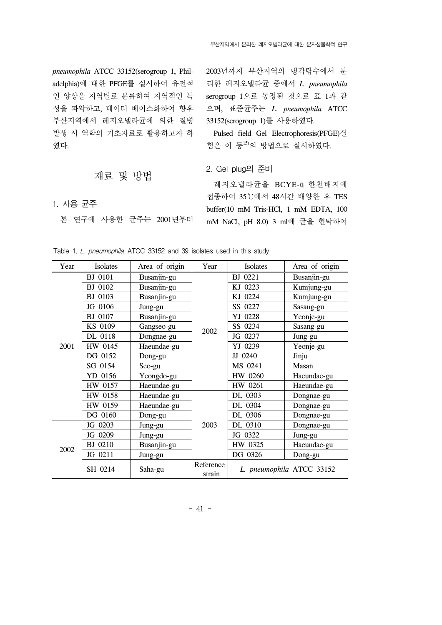*pneumophila* ATCC 33152(serogroup 1, Philadelphia)에 대한 PFGE를 실시하여 유전적 인 양상을 지역별로 분류하여 지역적인 특 성을 파악하고, 데이터 베이스화하여 향후 부산지역에서 레지오넬라균에 의한 질병 발생 시 역학의 기초자료로 활용하고자 하 였다.

### 재료 및 방법

### 1. 사용 균주

본 연구에 사용한 균주는 2001년부터

2003년까지 부산지역의 냉각탑수에서 분 리한 레지오넬라균 중에서 *L. pneumophila*  serogroup 1으로 동정된 것으로 표 1과 같 으며, 표준균주는 *L. pneumophila* ATCC 33152(serogroup 1)를 사용하였다.

 Pulsed field Gel Electrophoresis(PFGE)실 험은 이 등15)의 방법으로 실시하였다.

2. Gel plug의 준비

레지오넬라균을 BCYE-u 한천배지에 접종하여 35℃에서 48시간 배양한 후 TES buffer(10 mM Tris-HCl, 1 mM EDTA, 100 mM NaCl, pH 8.0) 3 ml에 균을 현탁하여

| Year | Isolates       | Area of origin | Year                | Isolates                  | Area of origin |
|------|----------------|----------------|---------------------|---------------------------|----------------|
| 2001 | <b>BJ</b> 0101 | Busanjin-gu    |                     | BJ 0221                   | Busanjin-gu    |
|      | BJ 0102        | Busanjin-gu    |                     | KJ 0223                   | Kumjung-gu     |
|      | <b>BJ</b> 0103 | Busanjin-gu    |                     | KJ 0224                   | Kumjung-gu     |
|      | JG 0106        | Jung-gu        |                     | SS 0227                   | Sasang-gu      |
|      | BJ 0107        | Busanjin-gu    |                     | YJ 0228                   | Yeonje-gu      |
|      | KS 0109        | Gangseo-gu     | 2002                | SS 0234                   | Sasang-gu      |
|      | DL 0118        | Dongnae-gu     |                     | JG 0237                   | Jung-gu        |
|      | HW 0145        | Haeundae-gu    |                     | YJ 0239                   | Yeonje-gu      |
|      | DG 0152        | Dong-gu        |                     | JJ 0240                   | Jinju          |
|      | SG 0154        | Seo-gu         |                     | MS 0241                   | Masan          |
|      | YD 0156        | Yeongdo-gu     |                     | HW 0260                   | Haeundae-gu    |
|      | HW 0157        | Haeundae-gu    |                     | HW 0261                   | Haeundae-gu    |
|      | HW 0158        | Haeundae-gu    |                     | DL 0303                   | Dongnae-gu     |
|      | HW 0159        | Haeundae-gu    |                     | DL 0304                   | Dongnae-gu     |
|      | DG 0160        | Dong-gu        |                     | DL 0306                   | Dongnae-gu     |
| 2002 | JG 0203        | Jung-gu        | 2003                | DL 0310                   | Dongnae-gu     |
|      | JG 0209        | Jung-gu        |                     | JG 0322                   | Jung-gu        |
|      | BJ 0210        | Busanjin-gu    |                     | HW 0325                   | Haeundae-gu    |
|      | JG 0211        | Jung-gu        |                     | DG 0326                   | Dong-gu        |
|      | SH 0214        | Saha-gu        | Reference<br>strain | L. pneumophila ATCC 33152 |                |

Table 1. L. pneumophila ATCC 33152 and 39 isolates used in this study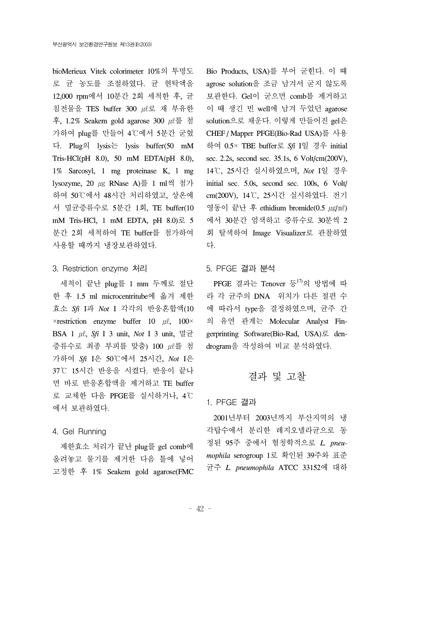bioMerieux Vitek colorimeter 10%의 투명도 로 균 농도를 조절하였다. 균 현탁액을 12,000 rpm에서 10분간 2회 세척한 후, 균 침전물을 TES buffer 300 ㎕로 재 부유한 후, 1.2% Seakem gold agarose 300  $\mu \geq \frac{3}{2}$ 가하여 plug를 만들어 4℃에서 5분간 굳혔 다. Plug의 lysis는 lysis buffer(50 mM Tris-HCl(pH  $8.0$ ), 50 mM EDTA(pH  $8.0$ ), 1% Sarcosyl, 1 mg proteinase K, l mg lysozyme, 20 ㎍ RNase A)를 1 ml씩 첨가 하여 50℃에서 48시간 처리하였고, 상온에 서 멸균증류수로 5분간 1회, TE buffer(10 mM Tris-HCl, 1 mM EDTA, pH  $8.0$ )로 5 분간 2회 세척하여 TE buffer를 첨가하여 사용할 때까지 냉장보관하였다.

#### 3. Restriction enzyme 처리

 세척이 끝난 plug를 1 mm 두께로 절단 한 후 1.5 ml microcentritube에 옮겨 제한 효소 *Sfi* I과 *Not* I 각각의 반응혼합액(10  $\times$ restriction enzyme buffer 10  $\mu$ l, 100 $\times$ BSA 1 ㎕, *Sfi* I 3 unit, *Not* I 3 unit, 멸균 증류수로 최종 부피를 맞춤) 100  $\mu$  를 첨 가하여 *Sfi* I은 50℃에서 25시간, *Not* I은 37℃ 15시간 반응을 시켰다. 반응이 끝나 면 바로 반응혼합액을 제거하고 TE buffer 로 교체한 다음 PFGE를 실시하거나, 4℃ 에서 보관하였다.

### 4. Gel Running

 제한효소 처리가 끝난 plug를 gel comb에 올려놓고 물기를 제거한 다음 틀에 넣어 고정한 후 1% Seakem gold agarose(FMC Bio Products, USA)를 부어 굳힌다. 이 때 agrose solution을 조금 남겨서 굳지 않도록 보관한다. Gel이 굳으면 comb를 제거하고 이 때 생긴 빈 well에 남겨 두었던 agarose solution으로 채운다. 이렇게 만들어진 gel은 CHEF / Mapper PFGE(Bio-Rad USA)를 사용 하여 0.5× TBE buffer로 *Sfi* I일 경우 initial sec. 2.2s, second sec. 35.1s, 6 Volt/cm(200V), 14℃, 25시간 실시하였으며, *Not* I일 경우 initial sec. 5.0s, second sec. 100s, 6 Volt/ cm(200V), 14℃, 25시간 실시하였다. 전기 영동이 끝난 후 ethidium bromide(0.5  $\mu$ g/ml) 에서 30분간 염색하고 증류수로 30분씩 2 회 탈색하여 Image Visualizer로 관찰하였 다.

#### 5. PFGE 결과 분석

PFGE 결과는 Tenover 등 $^{17)}$ 의 방법에 따 라 각 균주의 DNA 위치가 다른 절편 수 에 따라서 type을 결정하였으며, 균주 간 의 유연 관계는 Molecular Analyst Fingerprinting Software(Bio-Rad, USA)로 dendrogram을 작성하여 비교 분석하였다.

### 결과 및 고찰

1. PFGE 결과

 2001년부터 2003년까지 부산지역의 냉 각탑수에서 분리한 레지오넬라균으로 동 정된 95주 중에서 혈청학적으로 *L. pneumophila* serogroup 1로 확인된 39주와 표준 균주 *L. pneumophila* ATCC 33152에 대하

- 42 -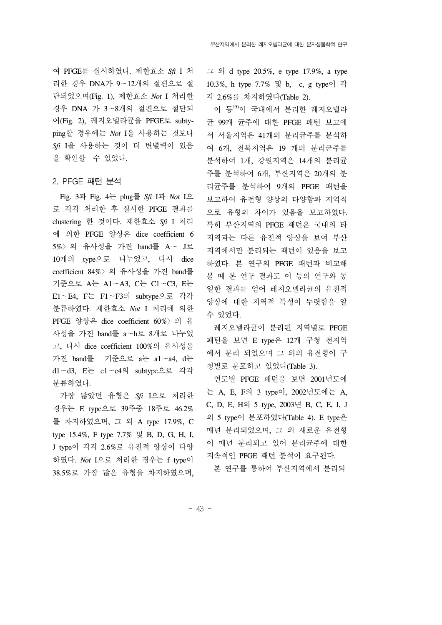여 PFGE를 실시하였다. 제한효소 *Sfi* I 처 리한 경우 DNA가 9∼12개의 절편으로 절 단되었으며(Fig. 1), 제한효소 *Not* I 처리한 경우 DNA 가 3∼8개의 절편으로 절단되 어(Fig. 2), 레지오넬라균을 PFGE로 subtyping할 경우에는 *Not* I을 사용하는 것보다 *Sfi* I을 사용하는 것이 더 변별력이 있음 을 확인할 수 있었다.

#### 2. PFGE 패턴 분석

 Fig. 3과 Fig. 4는 plug를 *Sfi* I과 *Not* I으 로 각각 처리한 후 실시한 PFGE 결과를 clustering 한 것이다. 제한효소 *Sfi* I 처리 에 의한 PFGE 양상은 dice coefficient 6 5%〉의 유사성을 가진 band를 A∼ J로 10개의 type으로 나누었고, 다시 dice coefficient 84%〉의 유사성을 가진 band를 기준으로 A는 A1∼A3, C는 C1∼C3, E는 E1∼E4, F는 F1∼F3의 subtype으로 각각 분류하였다. 제한효소 *Not* I 처리에 의한 PFGE 양상은 dice coefficient 60%〉의 유 사성을 가진 band를 a∼h로 8개로 나누었 고, 다시 dice coefficient 100%의 유사성을 가진 band를 기준으로 a는 a1∼a4, d는 d1∼d3, E는 e1∼e4의 subtype으로 각각 분류하였다.

 가장 많았던 유형은 *Sfi* I으로 처리한 경우는 E type으로 39주중 18주로 46.2% 를 차지하였으며, 그 외 A type 17.9%, C type 15.4%, F type 7.7% 및 B, D, G, H, I, J type이 각각 2.6%로 유전적 양상이 다양 하였다. *Not* I으로 처리한 경우는 f type이 38.5%로 가장 많은 유형을 차지하였으며,

그 외 d type 20.5%, e type 17.9%, a type 10.3%, h type 7.7% 및 b, c, g type이 각 각 2.6%를 차지하였다(Table 2).

 이 등15)이 국내에서 분리한 레지오넬라 균 99개 균주에 대한 PFGE 패턴 보고에 서 서울지역은 41개의 분리균주를 분석하 여 6개, 전북지역은 19 개의 분리균주를 분석하여 1개, 강원지역은 14개의 분리균 주를 분석하여 6개, 부산지역은 20개의 분 리균주를 분석하여 9개의 PFGE 패턴을 보고하여 유전형 양상의 다양함과 지역적 으로 유형의 차이가 있음을 보고하였다. 특히 부산지역의 PFGE 패턴은 국내의 타 지역과는 다른 유전적 양상을 보여 부산 지역에서만 분리되는 패턴이 있음을 보고 하였다. 본 연구의 PFGE 패턴과 비교해 볼 때 본 연구 결과도 이 등의 연구와 동 일한 결과를 얻어 레지오넬라균의 유전적 양상에 대한 지역적 특성이 뚜렷함을 알 수 있었다.

 레지오넬라균이 분리된 지역별로 PFGE 패턴을 보면 E type은 12개 구청 전지역 에서 분리 되었으며 그 외의 유전형이 구 청별로 분포하고 있었다(Table 3).

 연도별 PFGE 패턴을 보면 2001년도에 는 A, E, F의 3 type이, 2002년도에는 A, C, D, E, H의 5 type, 2003년 B, C, E, I, J 의 5 type이 분포하였다(Table 4). E type은 매년 분리되었으며, 그 외 새로운 유전형 이 매년 분리되고 있어 분리균주에 대한 지속적인 PFGE 패턴 분석이 요구된다.

본 연구를 통하여 부산지역에서 분리되

- 43 -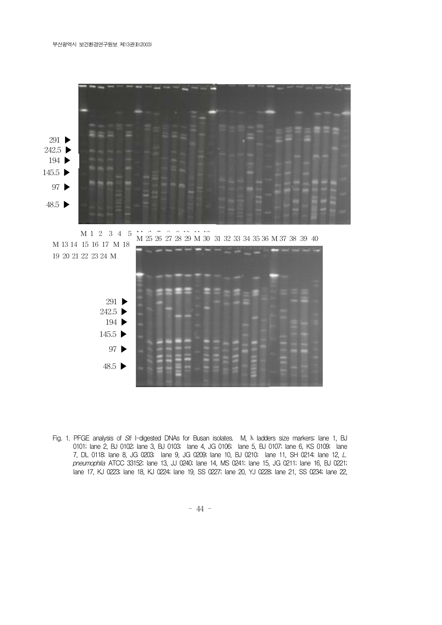

Fig. 1. PFGE analysis of Sfi I-digested DNAs for Busan isolates. M, I ladders size markers; lane 1, BJ 0101; lane 2, BJ 0102; lane 3, BJ 0103; lane 4, JG 0106; lane 5, BJ 0107; lane 6, KS 0109; lane 7, DL 0118; lane 8, JG 0203; lane 9, JG 0209; lane 10, BJ 0210; lane 11, SH 0214; lane 12, L. pneumophila ATCC 33152; lane 13, JJ 0240; lane 14, MS 0241; lane 15, JG 0211; lane 16, BJ 0221; lane 17, KJ 0223; lane 18, KJ 0224; lane 19, SS 0227; lane 20, YJ 0228; lane 21, SS 0234; lane 22,

- 44 -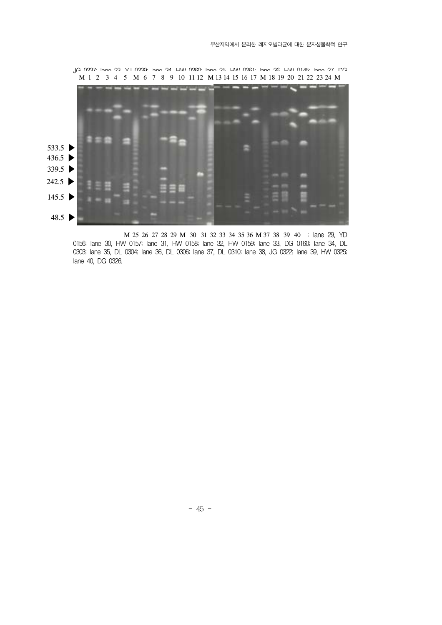

M 25 26 27 28 29 M 30 31 32 33 34 35 36 M 37 38 39 40 ; lane 29, YD 0156; lane 30, HW 0157; lane 31, HW 0158; lane 32, HW 0159; lane 33, DG 0160; lane 34, DL 0303; lane 35, DL 0304; lane 36, DL 0306; lane 37, DL 0310; lane 38, JG 0322; lane 39, HW 0325; lane 40, DG 0326.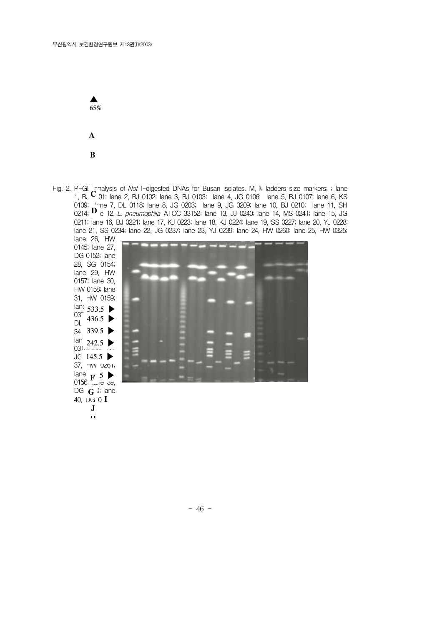

Fig. 2. PFGF chalysis of *Not* I-digested DNAs for Busan isolates. M, Ladders size markers; ; lane 1,  $B\cup C$  01; lane 2,  $B\cup 0102$ ; lane 3,  $B\cup 0103$ ; lane 4, JG 0106; lane 5,  $B\cup 0107$ ; lane 6, KS 0109; lone 7, DL 0118; lane 8, JG 0203; lane 9, JG 0209; lane 10, BJ 0210; lane 11, SH 0214; **D** e 12, *L. pneumophila* ATCC 33152; lane 13, JJ 0240; lane 14, MS 0241; lane 15, JG 0211; lane 16, BJ 0221; lane 17, KJ 0223; lane 18, KJ 0224; lane 19, SS 0227; lane 20, YJ 0228; lane 21, SS 0234; lane 22, JG 0237; lane 23, YJ 0239; lane 24, HW 0260; lane 25, HW 0325;

lane 26, HW 0145; lane 27, DG 0152; lane 28, SG 0154; lane 29, HW 0157; lane 30, HW 0158; lane 31, HW 0159;  $\lim_{\infty}$  533.5  $\blacktriangleright$ 03 $^{13}$   $4365$  $\overline{DL}$  436.5  $\blacktriangleright$  $34, 339.5 \blacktriangleright$ lan  $242.5$  D  $\begin{array}{c} \n\text{all} \\ \n03^{\text{t}} \quad \dots \quad \dots \quad \dots \quad \n\end{array}$ JG  $145.5$ 37, HW 0261; lane  $\mathbf{F}$  5 0156, <del>".</del>...ne الله, DG  $\, {\bf G}$  ); lane 40, DG 01  $_{\rm F}$  5  $\blacktriangleright$ **G H F J**

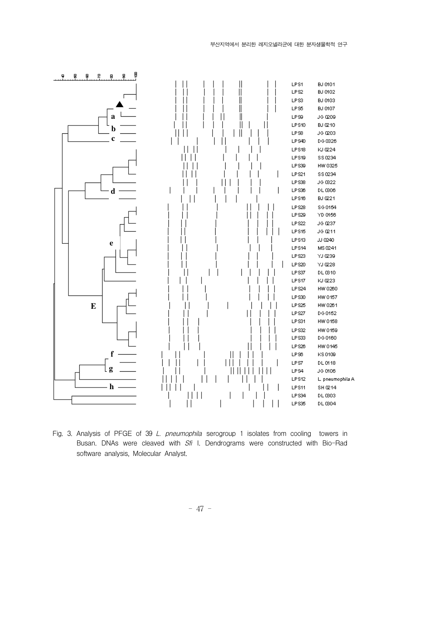

Fig. 3. Analysis of PFGE of 39 L. pneumophila serogroup 1 isolates from cooling towers in Busan. DNAs were cleaved with Sfi I. Dendrograms were constructed with Bio-Rad software analysis, Molecular Analyst.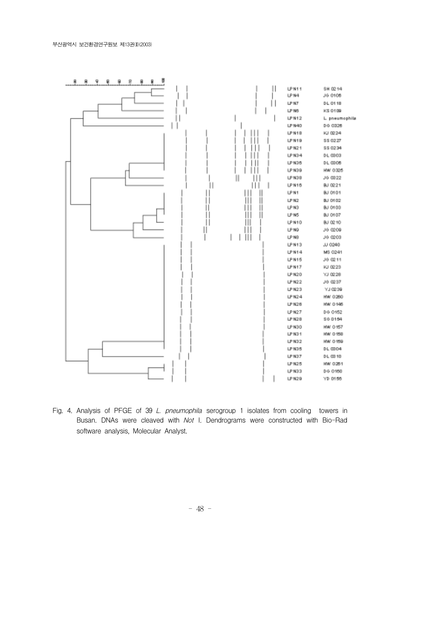

Fig. 4. Analysis of PFGE of 39 L. pneumophila serogroup 1 isolates from cooling towers in Busan. DNAs were cleaved with Not I. Dendrograms were constructed with Bio-Rad software analysis, Molecular Analyst.

- 48 -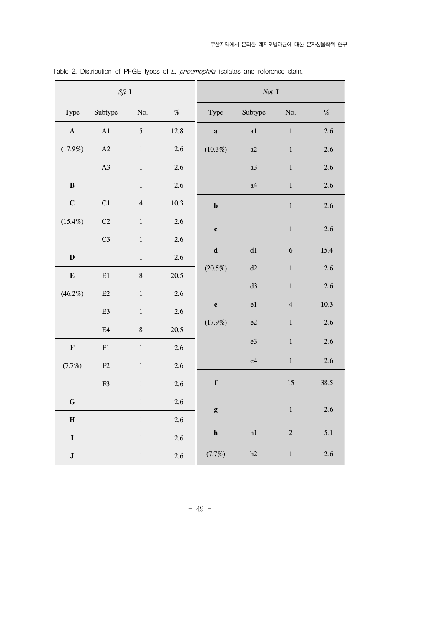| $Sf\!\!i$ I |                |                         | Not I |              |                |                         |      |
|-------------|----------------|-------------------------|-------|--------------|----------------|-------------------------|------|
| Type        | Subtype        | No.                     | $\%$  | Type         | Subtype        | No.                     | %    |
| $\mathbf A$ | A1             | $\sqrt{5}$              | 12.8  | $\mathbf a$  | a1             | $\,1\,$                 | 2.6  |
| (17.9%)     | $\mathbf{A2}$  | $\,1\,$                 | 2.6   | $(10.3\%)$   | a2             | $\,1$                   | 2.6  |
|             | A3             | $\mathbf{1}$            | 2.6   |              | a3             | $\,1$                   | 2.6  |
| $\bf{B}$    |                | $\mathbf{1}$            | 2.6   |              | a4             | $\,1$                   | 2.6  |
| $\mathbf C$ | C1             | $\overline{\mathbf{4}}$ | 10.3  | $\mathbf b$  |                | $\,1\,$                 | 2.6  |
| $(15.4\%)$  | C <sub>2</sub> | $\,1\,$                 | 2.6   | $\mathbf c$  |                | $\mathbf 1$             | 2.6  |
|             | C <sub>3</sub> | $\,1\,$                 | 2.6   |              |                |                         |      |
| $\mathbf D$ |                | $\mathbf{1}$            | 2.6   | $\mathbf d$  | $\mathrm{d} 1$ | 6                       | 15.4 |
| ${\bf E}$   | $\rm E1$       | $\,8\,$                 | 20.5  | $(20.5\%)$   | d2             | $\,1$                   | 2.6  |
| $(46.2\%)$  | E2             | $\,1\,$                 | 2.6   |              | d3             | $\mathbf 1$             | 2.6  |
|             | E <sub>3</sub> | $\mathbf{1}$            | 2.6   | $\mathbf e$  | e1             | $\overline{\mathbf{4}}$ | 10.3 |
|             | E4             | $\bf 8$                 | 20.5  | (17.9%)      | e2             | $\mathbf 1$             | 2.6  |
| $\mathbf F$ | F1             | $\,1\,$                 | 2.6   |              | e3             | $\,1$                   | 2.6  |
| (7.7%)      | $\rm F2$       | $\,1\,$                 | 2.6   |              | e4             | $\mathbf{1}$            | 2.6  |
|             | F3             | $\,1\,$                 | 2.6   | $\mathbf f$  |                | 15                      | 38.5 |
| $\mathbf G$ |                | $\,1\,$                 | 2.6   | $\mathbf{g}$ |                | $\,1\,$                 | 2.6  |
| $\mathbf H$ |                | $\,1\,$                 | 2.6   |              |                |                         |      |
| $\mathbf I$ |                | $\,1\,$                 | 2.6   | ${\bf h}$    | h1             | $\overline{2}$          | 5.1  |
| $\bf J$     |                | $\,1\,$                 | 2.6   | (7.7%)       | h2             | $\mathbf 1$             | 2.6  |

Table 2. Distribution of PFGE types of L. pneumophila isolates and reference stain.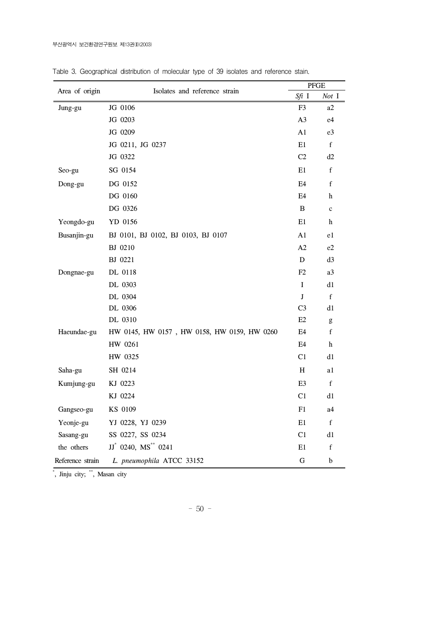|                  |                                             |                | <b>PFGE</b>                                           |  |
|------------------|---------------------------------------------|----------------|-------------------------------------------------------|--|
| Area of origin   | Isolates and reference strain               | Sfi I          | Not I                                                 |  |
| Jung-gu          | JG 0106                                     | F <sub>3</sub> | a2                                                    |  |
|                  | JG 0203                                     | A <sub>3</sub> | e4                                                    |  |
|                  | JG 0209                                     | A1             | e <sub>3</sub>                                        |  |
|                  | JG 0211, JG 0237                            | E1             | $\mathbf f$                                           |  |
|                  | JG 0322                                     | C <sub>2</sub> | d2                                                    |  |
| Seo-gu           | SG 0154                                     | E1             | $\mathbf f$                                           |  |
| Dong-gu          | DG 0152                                     | E <sub>4</sub> | $\mathbf f$                                           |  |
|                  | DG 0160                                     | E <sub>4</sub> | h                                                     |  |
|                  | DG 0326                                     | B              | $\mathbf c$                                           |  |
| Yeongdo-gu       | YD 0156                                     | E1             | h                                                     |  |
| Busanjin-gu      | BJ 0101, BJ 0102, BJ 0103, BJ 0107          | A1             | e1                                                    |  |
|                  | BJ 0210                                     | A2             | e2                                                    |  |
|                  | BJ 0221                                     | D              | d3                                                    |  |
| Dongnae-gu       | DL 0118                                     | F2             | a3                                                    |  |
|                  | DL 0303                                     | I              | d1                                                    |  |
|                  | DL 0304                                     | J              | $\mathbf f$                                           |  |
|                  | DL 0306                                     | C <sub>3</sub> | d1                                                    |  |
|                  | DL 0310                                     | E2             | $\mathbf{g}% _{0}\left( \mathbf{r},\mathbf{r}\right)$ |  |
| Haeundae-gu      | HW 0145, HW 0157, HW 0158, HW 0159, HW 0260 | E4             | $\mathbf f$                                           |  |
|                  | HW 0261                                     | E <sub>4</sub> | h                                                     |  |
|                  | HW 0325                                     | C1             | d1                                                    |  |
| Saha-gu          | SH 0214                                     | H              | a1                                                    |  |
| Kumjung-gu       | KJ 0223                                     | E <sub>3</sub> | $\mathbf f$                                           |  |
|                  | KJ 0224                                     | C <sub>1</sub> | d1                                                    |  |
| Gangseo-gu       | KS 0109                                     | F1             | a4                                                    |  |
| Yeonje-gu        | YJ 0228, YJ 0239                            | E1             | $\mathbf f$                                           |  |
| Sasang-gu        | SS 0227, SS 0234                            | C <sub>1</sub> | d1                                                    |  |
| the others       | JJ* 0240, MS** 0241                         | E1             | $\mathbf f$                                           |  |
| Reference strain | L. pneumophila ATCC 33152                   | ${\bf G}$      | $\mathbf b$                                           |  |

Table 3. Geographical distribution of molecular type of 39 isolates and reference stain.

\* , Jinju city; \*\*, Masan city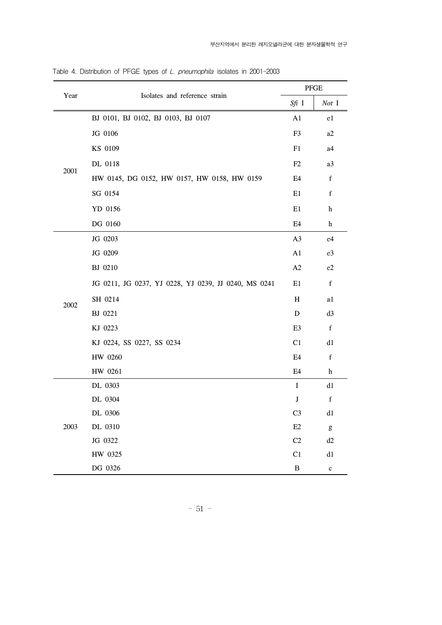|      | Isolates and reference strain                        |                | ${\rm PFGE}$                                                                                                                                                                                                                                                                                                                                                                                                                   |  |
|------|------------------------------------------------------|----------------|--------------------------------------------------------------------------------------------------------------------------------------------------------------------------------------------------------------------------------------------------------------------------------------------------------------------------------------------------------------------------------------------------------------------------------|--|
| Year |                                                      |                | Not I                                                                                                                                                                                                                                                                                                                                                                                                                          |  |
| 2001 | BJ 0101, BJ 0102, BJ 0103, BJ 0107                   | A1             | e1                                                                                                                                                                                                                                                                                                                                                                                                                             |  |
|      | JG 0106                                              | F <sub>3</sub> | a2                                                                                                                                                                                                                                                                                                                                                                                                                             |  |
|      | KS 0109                                              | F1             | a4                                                                                                                                                                                                                                                                                                                                                                                                                             |  |
|      | DL 0118                                              | F2             | a3                                                                                                                                                                                                                                                                                                                                                                                                                             |  |
|      | HW 0145, DG 0152, HW 0157, HW 0158, HW 0159          | E4             | $\mathbf f$                                                                                                                                                                                                                                                                                                                                                                                                                    |  |
|      | SG 0154                                              | E1             | $\mathbf f$                                                                                                                                                                                                                                                                                                                                                                                                                    |  |
|      | YD 0156                                              | E1             | $\boldsymbol{\mathrm{h}}$                                                                                                                                                                                                                                                                                                                                                                                                      |  |
|      | DG 0160                                              | E4             | $\boldsymbol{\mathrm{h}}$                                                                                                                                                                                                                                                                                                                                                                                                      |  |
| 2002 | JG 0203                                              | A3             | e4                                                                                                                                                                                                                                                                                                                                                                                                                             |  |
|      | JG 0209                                              | A1             | e3                                                                                                                                                                                                                                                                                                                                                                                                                             |  |
|      | BJ 0210                                              | A2             | e2                                                                                                                                                                                                                                                                                                                                                                                                                             |  |
|      | JG 0211, JG 0237, YJ 0228, YJ 0239, JJ 0240, MS 0241 | E1             | $\mathbf f$                                                                                                                                                                                                                                                                                                                                                                                                                    |  |
|      | SH 0214                                              | H              | a1                                                                                                                                                                                                                                                                                                                                                                                                                             |  |
|      | BJ 0221                                              | ${\bf D}$      | d3                                                                                                                                                                                                                                                                                                                                                                                                                             |  |
|      | KJ 0223                                              | E <sub>3</sub> | $\mathbf f$                                                                                                                                                                                                                                                                                                                                                                                                                    |  |
|      | KJ 0224, SS 0227, SS 0234                            | C1             | d1                                                                                                                                                                                                                                                                                                                                                                                                                             |  |
|      | HW 0260                                              | E4             | $\mathbf f$                                                                                                                                                                                                                                                                                                                                                                                                                    |  |
|      | HW 0261                                              | E4             | $\mathbf h$                                                                                                                                                                                                                                                                                                                                                                                                                    |  |
| 2003 | DL 0303                                              | I              | d1                                                                                                                                                                                                                                                                                                                                                                                                                             |  |
|      | DL 0304                                              | J              | $\mathbf f$                                                                                                                                                                                                                                                                                                                                                                                                                    |  |
|      | DL 0306                                              | C <sub>3</sub> | d1                                                                                                                                                                                                                                                                                                                                                                                                                             |  |
|      | DL 0310                                              | E2             | $\mathbf{g}% _{T}=\mathbf{g}_{T}=\mathbf{g}_{T}=\mathbf{g}_{T}=\mathbf{g}_{T}=\mathbf{g}_{T}=\mathbf{g}_{T}=\mathbf{g}_{T}=\mathbf{g}_{T}=\mathbf{g}_{T}=\mathbf{g}_{T}=\mathbf{g}_{T}=\mathbf{g}_{T}=\mathbf{g}_{T}=\mathbf{g}_{T}=\mathbf{g}_{T}=\mathbf{g}_{T}=\mathbf{g}_{T}=\mathbf{g}_{T}=\mathbf{g}_{T}=\mathbf{g}_{T}=\mathbf{g}_{T}=\mathbf{g}_{T}=\mathbf{g}_{T}=\mathbf{g}_{T}=\mathbf{g}_{T}=\mathbf{g}_{T}=\math$ |  |
|      | JG 0322                                              | C2             | d2                                                                                                                                                                                                                                                                                                                                                                                                                             |  |
|      | HW 0325                                              | C1             | d1                                                                                                                                                                                                                                                                                                                                                                                                                             |  |
|      | DG 0326                                              | $\, {\bf B}$   | $\mathbf c$                                                                                                                                                                                                                                                                                                                                                                                                                    |  |

Table 4. Distribution of PFGE types of L. pneumophila isolates in 2001-2003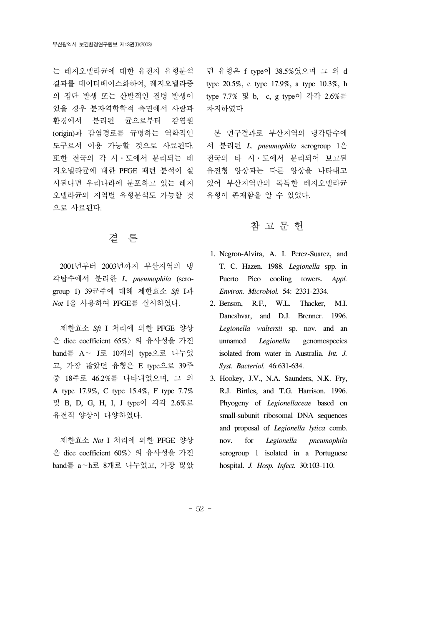는 레지오넬라균에 대한 유전자 유형분석 결과를 데이터베이스화하여, 레지오넬라증 의 집단 발생 또는 산발적인 질병 발생이 있을 경우 분자역학학적 측면에서 사람과 환경에서 분리된 균으로부터 감염원 (origin)과 감염경로를 규명하는 역학적인 도구로서 이용 가능할 것으로 사료된다. 또한 전국의 각 시․도에서 분리되는 레 지오넬라균에 대한 PFGE 패턴 분석이 실 시된다면 우리나라에 분포하고 있는 레지 오넬라균의 지역별 유형분석도 가능할 것 으로 사료된다.

## 결 론

 2001년부터 2003년까지 부산지역의 냉 각탑수에서 분리한 *L. pneumophila* (serogroup 1) 39균주에 대해 제한효소 *Sfi* I과 *Not* I을 사용하여 PFGE를 실시하였다.

 제한효소 *Sfi* I 처리에 의한 PFGE 양상 은 dice coefficient 65%〉의 유사성을 가진 band를 A∼ J로 10개의 type으로 나누었 고, 가장 많았던 유형은 E type으로 39주 중 18주로 46.2%를 나타내었으며, 그 외 A type 17.9%, C type 15.4%, F type 7.7% 및 B, D, G, H, I, J type이 각각 2.6%로 유전적 양상이 다양하였다.

 제한효소 *Not* I 처리에 의한 PFGE 양상 은 dice coefficient 60%〉의 유사성을 가진 band를 a∼h로 8개로 나누었고, 가장 많았

던 유형은 f type이 38.5%였으며 그 외 d type 20.5%, e type 17.9%, a type 10.3%, h type 7.7% 및 b, c, g type이 각각 2.6%를 차지하였다

 본 연구결과로 부산지역의 냉각탑수에 서 분리된 *L. pneumophila* serogroup 1은 전국의 타 시․도에서 분리되어 보고된 유전형 양상과는 다른 양상을 나타내고 있어 부산지역만의 독특한 레지오넬라균 유형이 존재함을 알 수 있었다.

# 참 고 문 헌

- 1. Negron-Alvira, A. I. Perez-Suarez, and T. C. Hazen. 1988. *Legionella* spp. in Puerto Pico cooling towers. *Appl. Environ. Microbiol.* 54: 2331-2334.
- 2. Benson, R.F., W.L. Thacker, M.I. Daneshvar, and D.J. Brenner. 1996. *Legionella waltersii* sp. nov. and an unnamed *Legionella* genomospecies isolated from water in Australia. *Int. J. Syst. Bacteriol.* 46:631-634.
- 3. Hookey, J.V., N.A. Saunders, N.K. Fry, R.J. Birtles, and T.G. Harrison. 1996. Phyogeny of *Legionellaceae* based on small-subunit ribosomal DNA sequences and proposal of *Legionella lytica* comb. nov. for *Legionella pneumophila*  serogroup 1 isolated in a Portuguese hospital. *J. Hosp. Infect.* 30:103-110.